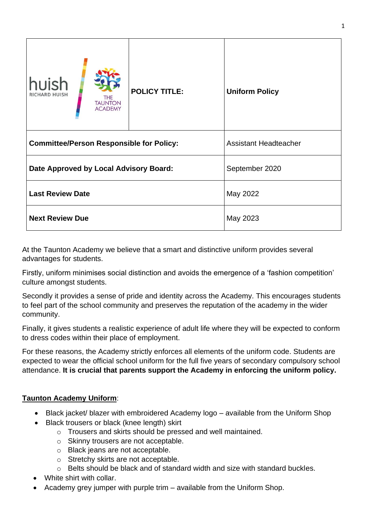| <b>huish</b><br><b>THE</b><br><b>TAUNTON</b><br><b>ACADEMY</b> | <b>POLICY TITLE:</b> | <b>Uniform Policy</b>        |
|----------------------------------------------------------------|----------------------|------------------------------|
| <b>Committee/Person Responsible for Policy:</b>                |                      | <b>Assistant Headteacher</b> |
| Date Approved by Local Advisory Board:                         |                      | September 2020               |
| <b>Last Review Date</b>                                        |                      | May 2022                     |
| <b>Next Review Due</b>                                         |                      | May 2023                     |

At the Taunton Academy we believe that a smart and distinctive uniform provides several advantages for students.

Firstly, uniform minimises social distinction and avoids the emergence of a 'fashion competition' culture amongst students.

Secondly it provides a sense of pride and identity across the Academy. This encourages students to feel part of the school community and preserves the reputation of the academy in the wider community.

Finally, it gives students a realistic experience of adult life where they will be expected to conform to dress codes within their place of employment.

For these reasons, the Academy strictly enforces all elements of the uniform code. Students are expected to wear the official school uniform for the full five years of secondary compulsory school attendance. **It is crucial that parents support the Academy in enforcing the uniform policy.**

#### **Taunton Academy Uniform**:

- Black jacket/ blazer with embroidered Academy logo available from the Uniform Shop
- Black trousers or black (knee length) skirt
	- o Trousers and skirts should be pressed and well maintained.
	- o Skinny trousers are not acceptable.
	- o Black jeans are not acceptable.
	- o Stretchy skirts are not acceptable.
	- o Belts should be black and of standard width and size with standard buckles.
- White shirt with collar.
- Academy grey jumper with purple trim available from the Uniform Shop.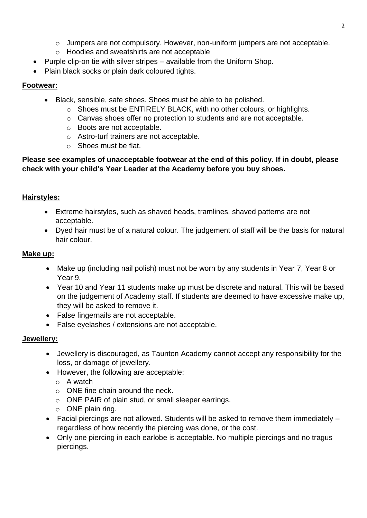- o Jumpers are not compulsory. However, non-uniform jumpers are not acceptable.
- o Hoodies and sweatshirts are not acceptable
- Purple clip-on tie with silver stripes available from the Uniform Shop.
- Plain black socks or plain dark coloured tights.

# **Footwear:**

- Black, sensible, safe shoes. Shoes must be able to be polished.
	- o Shoes must be ENTIRELY BLACK, with no other colours, or highlights.
	- o Canvas shoes offer no protection to students and are not acceptable.
	- o Boots are not acceptable.
	- o Astro-turf trainers are not acceptable.
	- o Shoes must be flat.

### **Please see examples of unacceptable footwear at the end of this policy. If in doubt, please check with your child's Year Leader at the Academy before you buy shoes.**

# **Hairstyles:**

- Extreme hairstyles, such as shaved heads, tramlines, shaved patterns are not acceptable.
- Dyed hair must be of a natural colour. The judgement of staff will be the basis for natural hair colour.

# **Make up:**

- Make up (including nail polish) must not be worn by any students in Year 7, Year 8 or Year 9.
- Year 10 and Year 11 students make up must be discrete and natural. This will be based on the judgement of Academy staff. If students are deemed to have excessive make up, they will be asked to remove it.
- False fingernails are not acceptable.
- False eyelashes / extensions are not acceptable.

# **Jewellery:**

- Jewellery is discouraged, as Taunton Academy cannot accept any responsibility for the loss, or damage of jewellery.
- However, the following are acceptable:
	- o A watch
	- $\circ$  ONE fine chain around the neck.
	- o ONE PAIR of plain stud, or small sleeper earrings.
	- $\circ$  ONE plain ring.
- Facial piercings are not allowed. Students will be asked to remove them immediately regardless of how recently the piercing was done, or the cost.
- Only one piercing in each earlobe is acceptable. No multiple piercings and no tragus piercings.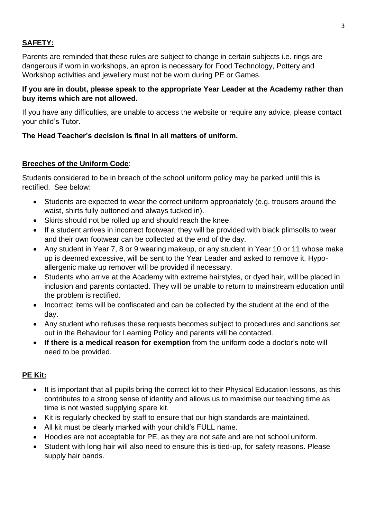# **SAFETY:**

Parents are reminded that these rules are subject to change in certain subjects i.e. rings are dangerous if worn in workshops, an apron is necessary for Food Technology, Pottery and Workshop activities and jewellery must not be worn during PE or Games.

#### **If you are in doubt, please speak to the appropriate Year Leader at the Academy rather than buy items which are not allowed.**

If you have any difficulties, are unable to access the website or require any advice, please contact your child's Tutor.

## **The Head Teacher's decision is final in all matters of uniform.**

#### **Breeches of the Uniform Code**:

Students considered to be in breach of the school uniform policy may be parked until this is rectified. See below:

- Students are expected to wear the correct uniform appropriately (e.g. trousers around the waist, shirts fully buttoned and always tucked in).
- Skirts should not be rolled up and should reach the knee.
- If a student arrives in incorrect footwear, they will be provided with black plimsolls to wear and their own footwear can be collected at the end of the day.
- Any student in Year 7, 8 or 9 wearing makeup, or any student in Year 10 or 11 whose make up is deemed excessive, will be sent to the Year Leader and asked to remove it. Hypoallergenic make up remover will be provided if necessary.
- Students who arrive at the Academy with extreme hairstyles, or dyed hair, will be placed in inclusion and parents contacted. They will be unable to return to mainstream education until the problem is rectified.
- Incorrect items will be confiscated and can be collected by the student at the end of the day.
- Any student who refuses these requests becomes subject to procedures and sanctions set out in the Behaviour for Learning Policy and parents will be contacted.
- **If there is a medical reason for exemption** from the uniform code a doctor's note will need to be provided.

#### **PE Kit:**

- It is important that all pupils bring the correct kit to their Physical Education lessons, as this contributes to a strong sense of identity and allows us to maximise our teaching time as time is not wasted supplying spare kit.
- Kit is regularly checked by staff to ensure that our high standards are maintained.
- All kit must be clearly marked with your child's FULL name.
- Hoodies are not acceptable for PE, as they are not safe and are not school uniform.
- Student with long hair will also need to ensure this is tied-up, for safety reasons. Please supply hair bands.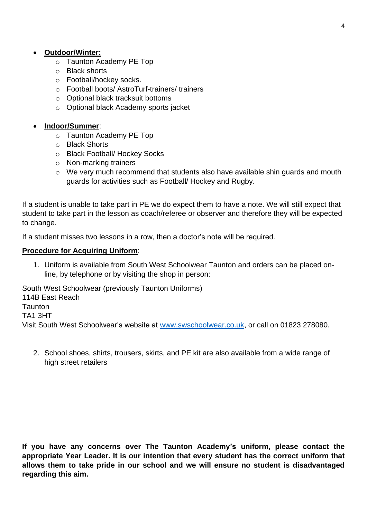- o Taunton Academy PE Top
- o Black shorts
- o Football/hockey socks.
- o Football boots/ AstroTurf-trainers/ trainers
- o Optional black tracksuit bottoms
- o Optional black Academy sports jacket
- **Indoor/Summer**:
	- o Taunton Academy PE Top
	- o Black Shorts
	- o Black Football/ Hockey Socks
	- o Non-marking trainers
	- o We very much recommend that students also have available shin guards and mouth guards for activities such as Football/ Hockey and Rugby.

If a student is unable to take part in PE we do expect them to have a note. We will still expect that student to take part in the lesson as coach/referee or observer and therefore they will be expected to change.

If a student misses two lessons in a row, then a doctor's note will be required.

#### **Procedure for Acquiring Uniform**:

1. Uniform is available from South West Schoolwear Taunton and orders can be placed online, by telephone or by visiting the shop in person:

South West Schoolwear (previously Taunton Uniforms) 114B East Reach **Taunton** TA1 3HT

Visit South West Schoolwear's website at [www.swschoolwear.co.uk,](http://www.swschoolwear.co.uk/) or call on 01823 278080.

2. School shoes, shirts, trousers, skirts, and PE kit are also available from a wide range of high street retailers

**If you have any concerns over The Taunton Academy's uniform, please contact the appropriate Year Leader. It is our intention that every student has the correct uniform that allows them to take pride in our school and we will ensure no student is disadvantaged regarding this aim.**